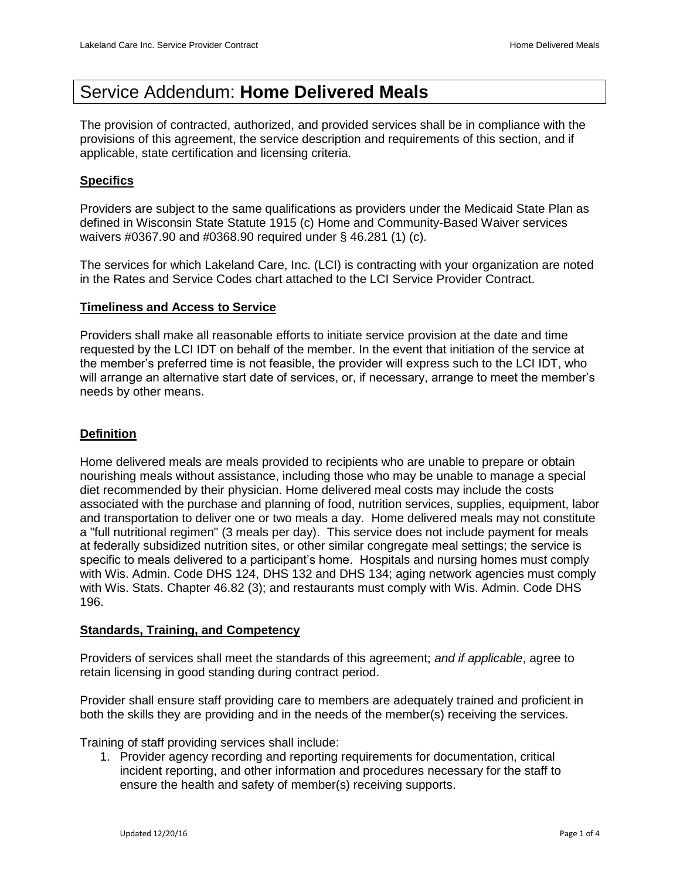# Service Addendum: **Home Delivered Meals**

The provision of contracted, authorized, and provided services shall be in compliance with the provisions of this agreement, the service description and requirements of this section, and if applicable, state certification and licensing criteria.

# **Specifics**

Providers are subject to the same qualifications as providers under the Medicaid State Plan as defined in Wisconsin State Statute 1915 (c) Home and Community-Based Waiver services waivers #0367.90 and #0368.90 required under § 46.281 (1) (c).

The services for which Lakeland Care, Inc. (LCI) is contracting with your organization are noted in the Rates and Service Codes chart attached to the LCI Service Provider Contract.

## **Timeliness and Access to Service**

Providers shall make all reasonable efforts to initiate service provision at the date and time requested by the LCI IDT on behalf of the member. In the event that initiation of the service at the member's preferred time is not feasible, the provider will express such to the LCI IDT, who will arrange an alternative start date of services, or, if necessary, arrange to meet the member's needs by other means.

## **Definition**

Home delivered meals are meals provided to recipients who are unable to prepare or obtain nourishing meals without assistance, including those who may be unable to manage a special diet recommended by their physician. Home delivered meal costs may include the costs associated with the purchase and planning of food, nutrition services, supplies, equipment, labor and transportation to deliver one or two meals a day. Home delivered meals may not constitute a "full nutritional regimen" (3 meals per day). This service does not include payment for meals at federally subsidized nutrition sites, or other similar congregate meal settings; the service is specific to meals delivered to a participant's home. Hospitals and nursing homes must comply with Wis. Admin. Code DHS 124, DHS 132 and DHS 134; aging network agencies must comply with Wis. Stats. Chapter 46.82 (3); and restaurants must comply with Wis. Admin. Code DHS 196.

#### **Standards, Training, and Competency**

Providers of services shall meet the standards of this agreement; *and if applicable*, agree to retain licensing in good standing during contract period.

Provider shall ensure staff providing care to members are adequately trained and proficient in both the skills they are providing and in the needs of the member(s) receiving the services.

Training of staff providing services shall include:

1. Provider agency recording and reporting requirements for documentation, critical incident reporting, and other information and procedures necessary for the staff to ensure the health and safety of member(s) receiving supports.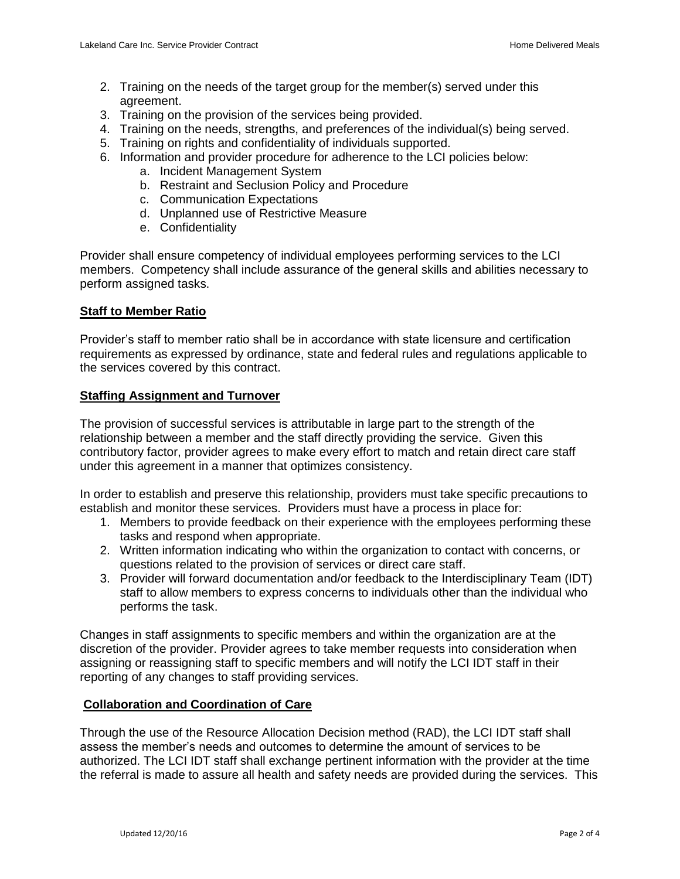- 2. Training on the needs of the target group for the member(s) served under this agreement.
- 3. Training on the provision of the services being provided.
- 4. Training on the needs, strengths, and preferences of the individual(s) being served.
- 5. Training on rights and confidentiality of individuals supported.
- 6. Information and provider procedure for adherence to the LCI policies below:
	- a. Incident Management System
	- b. Restraint and Seclusion Policy and Procedure
	- c. Communication Expectations
	- d. Unplanned use of Restrictive Measure
	- e. Confidentiality

Provider shall ensure competency of individual employees performing services to the LCI members. Competency shall include assurance of the general skills and abilities necessary to perform assigned tasks.

#### **Staff to Member Ratio**

Provider's staff to member ratio shall be in accordance with state licensure and certification requirements as expressed by ordinance, state and federal rules and regulations applicable to the services covered by this contract.

#### **Staffing Assignment and Turnover**

The provision of successful services is attributable in large part to the strength of the relationship between a member and the staff directly providing the service. Given this contributory factor, provider agrees to make every effort to match and retain direct care staff under this agreement in a manner that optimizes consistency.

In order to establish and preserve this relationship, providers must take specific precautions to establish and monitor these services. Providers must have a process in place for:

- 1. Members to provide feedback on their experience with the employees performing these tasks and respond when appropriate.
- 2. Written information indicating who within the organization to contact with concerns, or questions related to the provision of services or direct care staff.
- 3. Provider will forward documentation and/or feedback to the Interdisciplinary Team (IDT) staff to allow members to express concerns to individuals other than the individual who performs the task.

Changes in staff assignments to specific members and within the organization are at the discretion of the provider. Provider agrees to take member requests into consideration when assigning or reassigning staff to specific members and will notify the LCI IDT staff in their reporting of any changes to staff providing services.

#### **Collaboration and Coordination of Care**

Through the use of the Resource Allocation Decision method (RAD), the LCI IDT staff shall assess the member's needs and outcomes to determine the amount of services to be authorized. The LCI IDT staff shall exchange pertinent information with the provider at the time the referral is made to assure all health and safety needs are provided during the services. This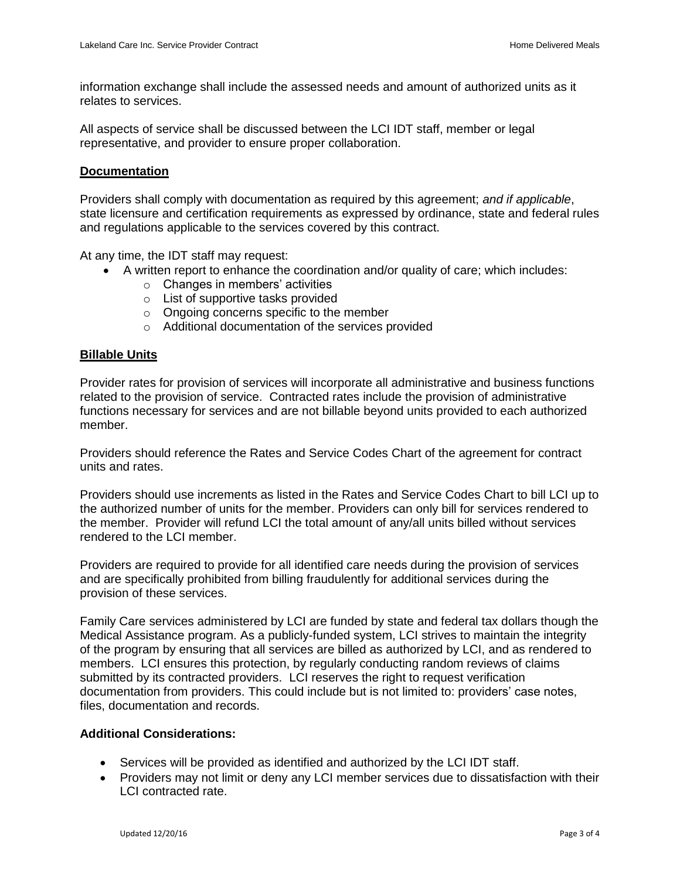information exchange shall include the assessed needs and amount of authorized units as it relates to services.

All aspects of service shall be discussed between the LCI IDT staff, member or legal representative, and provider to ensure proper collaboration.

#### **Documentation**

Providers shall comply with documentation as required by this agreement; *and if applicable*, state licensure and certification requirements as expressed by ordinance, state and federal rules and regulations applicable to the services covered by this contract.

At any time, the IDT staff may request:

- A written report to enhance the coordination and/or quality of care; which includes:
	- o Changes in members' activities
	- o List of supportive tasks provided
	- o Ongoing concerns specific to the member
	- o Additional documentation of the services provided

#### **Billable Units**

Provider rates for provision of services will incorporate all administrative and business functions related to the provision of service. Contracted rates include the provision of administrative functions necessary for services and are not billable beyond units provided to each authorized member.

Providers should reference the Rates and Service Codes Chart of the agreement for contract units and rates.

Providers should use increments as listed in the Rates and Service Codes Chart to bill LCI up to the authorized number of units for the member. Providers can only bill for services rendered to the member. Provider will refund LCI the total amount of any/all units billed without services rendered to the LCI member.

Providers are required to provide for all identified care needs during the provision of services and are specifically prohibited from billing fraudulently for additional services during the provision of these services.

Family Care services administered by LCI are funded by state and federal tax dollars though the Medical Assistance program. As a publicly-funded system, LCI strives to maintain the integrity of the program by ensuring that all services are billed as authorized by LCI, and as rendered to members. LCI ensures this protection, by regularly conducting random reviews of claims submitted by its contracted providers. LCI reserves the right to request verification documentation from providers. This could include but is not limited to: providers' case notes, files, documentation and records.

#### **Additional Considerations:**

- Services will be provided as identified and authorized by the LCI IDT staff.
- Providers may not limit or deny any LCI member services due to dissatisfaction with their LCI contracted rate.